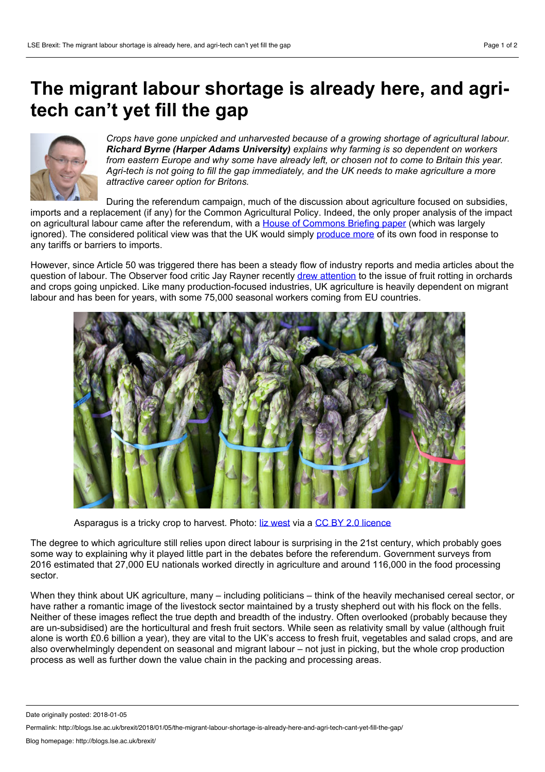## **The migrant labour shortage is already here, and agritech can't yet fill the gap**



*Crops have gone unpicked and unharvested because of a growing shortage of agricultural labour. Richard Byrne (Harper Adams University) explains why farming is so dependent on workers from eastern Europe and why some have already left, or chosen not to come to Britain this year. Agri-tech is not going to fill the gap immediately, and the UK needs to make agriculture a more attractive career option for Britons.*

During the referendum campaign, much of the discussion about agriculture focused on subsidies, imports and a replacement (if any) for the Common Agricultural Policy. Indeed, the only proper analysis of the impact on agricultural labour came after the referendum, with a House of [Commons](http://researchbriefings.parliament.uk/ResearchBriefing/Summary/CBP-7987#fullreport) Briefing paper (which was largely ignored). The considered political view was that the UK would simply [produce](https://www.theguardian.com/politics/2017/dec/04/brexit-labour-shortage-will-force-uk-to-import-more-fruit-winemaker) more of its own food in response to any tariffs or barriers to imports.

However, since Article 50 was triggered there has been a steady flow of industry reports and media articles about the question of labour. The Observer food critic Jay Rayner recently drew [attention](https://www.theguardian.com/global-development/2017/jul/29/saving-britains-food-supply-manifesto-jay-rayner) to the issue of fruit rotting in orchards and crops going unpicked. Like many production-focused industries, UK agriculture is heavily dependent on migrant labour and has been for years, with some 75,000 seasonal workers coming from EU countries.



Asparagus is a tricky crop to harvest. Photo: liz [west](https://www.flickr.com/photos/calliope/6894166320/in/photolist-bvdpsy-boQKxW-bYgFsS-8ar7fE-6goKkP-y3hF-scjT36-9B4Ktu-794d5D-8deAxq-8SMDZK-soSieA-4GFLpJ-a4WSse-d7W4y3-bYgFnm-nM3bW9-PH3WA-9B4Ksw-y3hJ-7zrKPk-bYgFHw-4ycFEV-65pAiR-6goD1X-7GN1ma-9Ps5h5-boQKCC-6h6gnK-7ZNbMW-6qN1Y5-9BchHY-BzPe-83HCuC-81hiQ2-6yNety-mTqnf-edvTiz-83HCvm-96aEjx-bXn3g9-4MJKbA-4SLD5o-6gsVVU-83Jx8x-8br9Dk-pVyMFH-vUiudt-RDYTnM-UPPFEA) via a CC BY 2.0 [licence](https://creativecommons.org/licenses/by/2.0/)

The degree to which agriculture still relies upon direct labour is surprising in the 21st century, which probably goes some way to explaining why it played little part in the debates before the referendum. Government surveys from 2016 estimated that27,000 EU nationals worked directly in agriculture and around 116,000 in the food processing sector.

When they think about UK agriculture, many – including politicians – think of the heavily mechanised cereal sector, or have rather a romantic image of the livestock sector maintained by a trusty shepherd out with his flock on the fells. Neither of these images reflect the true depth and breadth of the industry. Often overlooked (probably because they are un-subsidised) are the horticultural and fresh fruit sectors. While seen as relativity small by value (although fruit alone is worth £0.6 billion a year), they are vital to the UK's access to fresh fruit, vegetables and salad crops, and are also overwhelmingly dependent on seasonal and migrant labour – not just in picking, but the whole crop production process as wellas further down the value chain in the packing and processing areas.

Date originally posted: 2018-01-05

Permalink: http://blogs.lse.ac.uk/brexit/2018/01/05/the-migrant-labour-shortage-is-already-here-and-agri-tech-cant-yet-fill-the-gap/